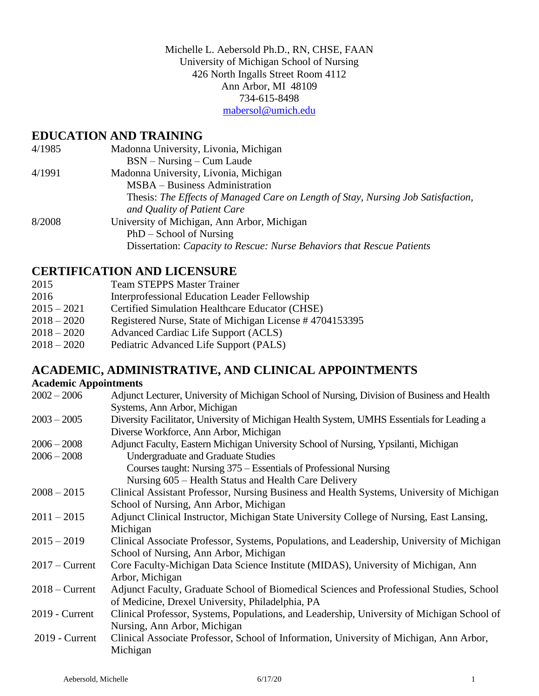Michelle L. Aebersold Ph.D., RN, CHSE, FAAN University of Michigan School of Nursing 426 North Ingalls Street Room 4112 Ann Arbor, MI 48109 734-615-8498 [mabersol@umich.edu](mailto:mabersol@umich.edu)

### **EDUCATION AND TRAINING**

| 4/1985 | Madonna University, Livonia, Michigan                                            |
|--------|----------------------------------------------------------------------------------|
|        | $BSN - Nursing - Cum Laude$                                                      |
| 4/1991 | Madonna University, Livonia, Michigan                                            |
|        | MSBA – Business Administration                                                   |
|        | Thesis: The Effects of Managed Care on Length of Stay, Nursing Job Satisfaction, |
|        | and Quality of Patient Care                                                      |
| 8/2008 | University of Michigan, Ann Arbor, Michigan                                      |
|        | $PhD - School of Nursing$                                                        |
|        | Dissertation: Capacity to Rescue: Nurse Behaviors that Rescue Patients           |

### **CERTIFICATION AND LICENSURE**

| 2015          | <b>Team STEPPS Master Trainer</b>                       |
|---------------|---------------------------------------------------------|
| 2016          | Interprofessional Education Leader Fellowship           |
| $2015 - 2021$ | Certified Simulation Healthcare Educator (CHSE)         |
| $2018 - 2020$ | Registered Nurse, State of Michigan License #4704153395 |
| $2018 - 2020$ | Advanced Cardiac Life Support (ACLS)                    |
| $2018 - 2020$ | Pediatric Advanced Life Support (PALS)                  |
|               |                                                         |

# **ACADEMIC, ADMINISTRATIVE, AND CLINICAL APPOINTMENTS**

| <b>Academic Appointments</b> |                                                                                             |  |
|------------------------------|---------------------------------------------------------------------------------------------|--|
| $2002 - 2006$                | Adjunct Lecturer, University of Michigan School of Nursing, Division of Business and Health |  |
|                              | Systems, Ann Arbor, Michigan                                                                |  |
| $2003 - 2005$                | Diversity Facilitator, University of Michigan Health System, UMHS Essentials for Leading a  |  |
|                              | Diverse Workforce, Ann Arbor, Michigan                                                      |  |
| $2006 - 2008$                | Adjunct Faculty, Eastern Michigan University School of Nursing, Ypsilanti, Michigan         |  |
| $2006 - 2008$                | Undergraduate and Graduate Studies                                                          |  |
|                              | Courses taught: Nursing 375 – Essentials of Professional Nursing                            |  |
|                              | Nursing 605 – Health Status and Health Care Delivery                                        |  |
| $2008 - 2015$                | Clinical Assistant Professor, Nursing Business and Health Systems, University of Michigan   |  |
|                              | School of Nursing, Ann Arbor, Michigan                                                      |  |
| $2011 - 2015$                | Adjunct Clinical Instructor, Michigan State University College of Nursing, East Lansing,    |  |
|                              | Michigan                                                                                    |  |
| $2015 - 2019$                | Clinical Associate Professor, Systems, Populations, and Leadership, University of Michigan  |  |
|                              | School of Nursing, Ann Arbor, Michigan                                                      |  |
| $2017 -$ Current             | Core Faculty-Michigan Data Science Institute (MIDAS), University of Michigan, Ann           |  |
|                              | Arbor, Michigan                                                                             |  |
| $2018 -$ Current             | Adjunct Faculty, Graduate School of Biomedical Sciences and Professional Studies, School    |  |
|                              | of Medicine, Drexel University, Philadelphia, PA                                            |  |
| $2019$ - Current             | Clinical Professor, Systems, Populations, and Leadership, University of Michigan School of  |  |
|                              | Nursing, Ann Arbor, Michigan                                                                |  |
| 2019 - Current               | Clinical Associate Professor, School of Information, University of Michigan, Ann Arbor,     |  |
|                              | Michigan                                                                                    |  |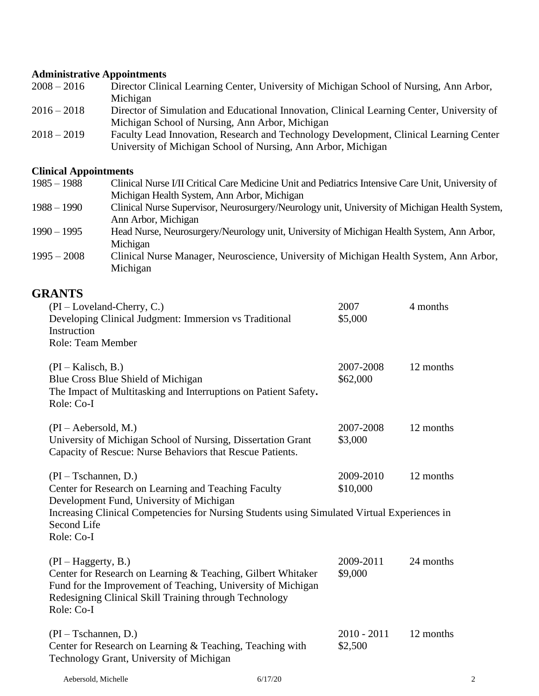# **Administrative Appointments**

| $2008 - 2016$ | Director Clinical Learning Center, University of Michigan School of Nursing, Ann Arbor,    |
|---------------|--------------------------------------------------------------------------------------------|
|               | Michigan                                                                                   |
| $2016 - 2018$ | Director of Simulation and Educational Innovation, Clinical Learning Center, University of |
|               | Michigan School of Nursing, Ann Arbor, Michigan                                            |
| $2018 - 2019$ | Faculty Lead Innovation, Research and Technology Development, Clinical Learning Center     |
|               | University of Michigan School of Nursing, Ann Arbor, Michigan                              |

# **Clinical Appointments**

| $1985 - 1988$ | Clinical Nurse I/II Critical Care Medicine Unit and Pediatrics Intensive Care Unit, University of |
|---------------|---------------------------------------------------------------------------------------------------|
|               | Michigan Health System, Ann Arbor, Michigan                                                       |
| $1988 - 1990$ | Clinical Nurse Supervisor, Neurosurgery/Neurology unit, University of Michigan Health System,     |
|               | Ann Arbor, Michigan                                                                               |
| $1990 - 1995$ | Head Nurse, Neurosurgery/Neurology unit, University of Michigan Health System, Ann Arbor,         |
|               | Michigan                                                                                          |
| $1995 - 2008$ | Clinical Nurse Manager, Neuroscience, University of Michigan Health System, Ann Arbor,            |
|               | Michigan                                                                                          |

# **GRANTS**

| $(PI - Loveland-Cherry, C.)$<br>Developing Clinical Judgment: Immersion vs Traditional<br>Instruction<br><b>Role: Team Member</b>                                                                                                                       | 2007<br>\$5,000          | 4 months  |
|---------------------------------------------------------------------------------------------------------------------------------------------------------------------------------------------------------------------------------------------------------|--------------------------|-----------|
| $(PI - Kalisch, B.)$<br>Blue Cross Blue Shield of Michigan<br>The Impact of Multitasking and Interruptions on Patient Safety.<br>Role: Co-I                                                                                                             | 2007-2008<br>\$62,000    | 12 months |
| $(PI - Aebersold, M.)$<br>University of Michigan School of Nursing, Dissertation Grant<br>Capacity of Rescue: Nurse Behaviors that Rescue Patients.                                                                                                     | 2007-2008<br>\$3,000     | 12 months |
| $(PI - Tschannen, D.)$<br>Center for Research on Learning and Teaching Faculty<br>Development Fund, University of Michigan<br>Increasing Clinical Competencies for Nursing Students using Simulated Virtual Experiences in<br>Second Life<br>Role: Co-I | 2009-2010<br>\$10,000    | 12 months |
| $(PI-Hagger, B.)$<br>Center for Research on Learning & Teaching, Gilbert Whitaker<br>Fund for the Improvement of Teaching, University of Michigan<br>Redesigning Clinical Skill Training through Technology<br>Role: Co-I                               | 2009-2011<br>\$9,000     | 24 months |
| $(PI - Tschannen, D.)$<br>Center for Research on Learning & Teaching, Teaching with<br>Technology Grant, University of Michigan                                                                                                                         | $2010 - 2011$<br>\$2,500 | 12 months |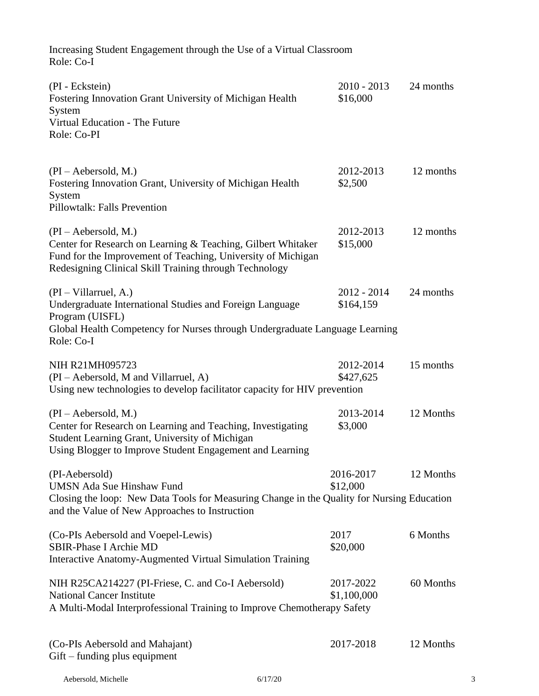| Increasing Student Engagement through the Use of a Virtual Classroom<br>Role: Co-I                                                                                                                               |                            |           |
|------------------------------------------------------------------------------------------------------------------------------------------------------------------------------------------------------------------|----------------------------|-----------|
| (PI - Eckstein)<br>Fostering Innovation Grant University of Michigan Health<br>System<br>Virtual Education - The Future<br>Role: Co-PI                                                                           | $2010 - 2013$<br>\$16,000  | 24 months |
| $(PI - Aebersold, M.)$<br>Fostering Innovation Grant, University of Michigan Health<br>System<br>Pillowtalk: Falls Prevention                                                                                    | 2012-2013<br>\$2,500       | 12 months |
| $(PI - Aebersold, M.)$<br>Center for Research on Learning & Teaching, Gilbert Whitaker<br>Fund for the Improvement of Teaching, University of Michigan<br>Redesigning Clinical Skill Training through Technology | 2012-2013<br>\$15,000      | 12 months |
| $(PI - Villarruel, A.)$<br>Undergraduate International Studies and Foreign Language<br>Program (UISFL)<br>Global Health Competency for Nurses through Undergraduate Language Learning<br>Role: Co-I              | $2012 - 2014$<br>\$164,159 | 24 months |
| NIH R21MH095723<br>(PI – Aebersold, M and Villarruel, A)<br>Using new technologies to develop facilitator capacity for HIV prevention                                                                            | 2012-2014<br>\$427,625     | 15 months |
| $(PI - Aebersold, M.)$<br>Center for Research on Learning and Teaching, Investigating<br>Student Learning Grant, University of Michigan<br>Using Blogger to Improve Student Engagement and Learning              | 2013-2014<br>\$3,000       | 12 Months |
| (PI-Aebersold)<br><b>UMSN Ada Sue Hinshaw Fund</b><br>Closing the loop: New Data Tools for Measuring Change in the Quality for Nursing Education<br>and the Value of New Approaches to Instruction               | 2016-2017<br>\$12,000      | 12 Months |
| (Co-PIs Aebersold and Voepel-Lewis)<br><b>SBIR-Phase I Archie MD</b><br>Interactive Anatomy-Augmented Virtual Simulation Training                                                                                | 2017<br>\$20,000           | 6 Months  |
| NIH R25CA214227 (PI-Friese, C. and Co-I Aebersold)<br><b>National Cancer Institute</b><br>A Multi-Modal Interprofessional Training to Improve Chemotherapy Safety                                                | 2017-2022<br>\$1,100,000   | 60 Months |
| (Co-PIs Aebersold and Mahajant)<br>$G$ ift – funding plus equipment                                                                                                                                              | 2017-2018                  | 12 Months |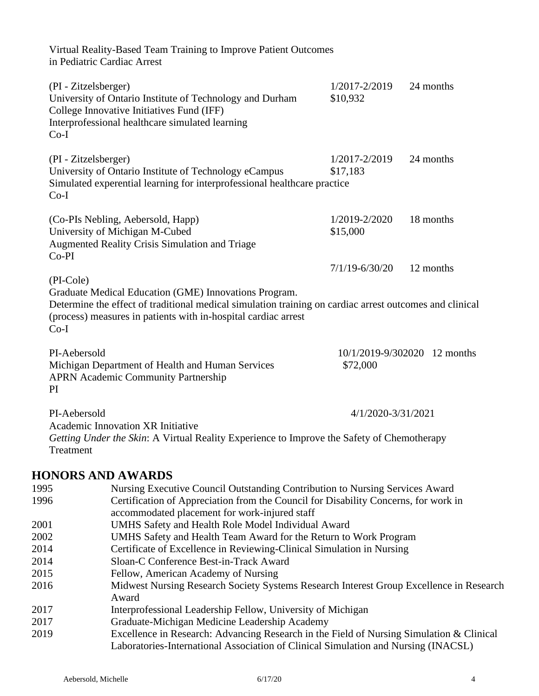|                        | Virtual Reality-Based Team Training to Improve Patient Outcomes<br>in Pediatric Cardiac Arrest                                                                                                                       |                           |                              |
|------------------------|----------------------------------------------------------------------------------------------------------------------------------------------------------------------------------------------------------------------|---------------------------|------------------------------|
| $Co-I$                 | (PI - Zitzelsberger)<br>University of Ontario Institute of Technology and Durham<br>College Innovative Initiatives Fund (IFF)<br>Interprofessional healthcare simulated learning                                     | 1/2017-2/2019<br>\$10,932 | 24 months                    |
| $Co-I$                 | (PI - Zitzelsberger)<br>University of Ontario Institute of Technology eCampus<br>Simulated experential learning for interprofessional healthcare practice                                                            | 1/2017-2/2019<br>\$17,183 | 24 months                    |
| $Co-PI$                | (Co-PIs Nebling, Aebersold, Happ)<br>University of Michigan M-Cubed<br><b>Augmented Reality Crisis Simulation and Triage</b>                                                                                         | 1/2019-2/2020<br>\$15,000 | 18 months                    |
|                        |                                                                                                                                                                                                                      | $7/1/19 - 6/30/20$        | 12 months                    |
| $Co-I$<br>PI-Aebersold | Determine the effect of traditional medical simulation training on cardiac arrest outcomes and clinical<br>(process) measures in patients with in-hospital cardiac arrest                                            |                           | 10/1/2019-9/302020 12 months |
| PI                     | Michigan Department of Health and Human Services<br><b>APRN Academic Community Partnership</b>                                                                                                                       | \$72,000                  |                              |
| PI-Aebersold           |                                                                                                                                                                                                                      | 4/1/2020-3/31/2021        |                              |
| Treatment              | <b>Academic Innovation XR Initiative</b><br>Getting Under the Skin: A Virtual Reality Experience to Improve the Safety of Chemotherapy                                                                               |                           |                              |
|                        | <b>HONORS AND AWARDS</b>                                                                                                                                                                                             |                           |                              |
| 1995<br>1996           | Nursing Executive Council Outstanding Contribution to Nursing Services Award<br>Certification of Appreciation from the Council for Disability Concerns, for work in<br>accommodated placement for work-injured staff |                           |                              |
| 2001                   | UMHS Safety and Health Role Model Individual Award                                                                                                                                                                   |                           |                              |
| 2002<br>2014           | UMHS Safety and Health Team Award for the Return to Work Program                                                                                                                                                     |                           |                              |
| 2014                   | Certificate of Excellence in Reviewing-Clinical Simulation in Nursing<br>Sloan-C Conference Best-in-Track Award                                                                                                      |                           |                              |
| 2015                   | Fellow, American Academy of Nursing                                                                                                                                                                                  |                           |                              |
| 2016                   | Midwest Nursing Research Society Systems Research Interest Group Excellence in Research                                                                                                                              |                           |                              |
|                        | Award                                                                                                                                                                                                                |                           |                              |

- 2017 Interprofessional Leadership Fellow, University of Michigan
- 2017 Graduate-Michigan Medicine Leadership Academy
- 2019 Excellence in Research: Advancing Research in the Field of Nursing Simulation & Clinical Laboratories-International Association of Clinical Simulation and Nursing (INACSL)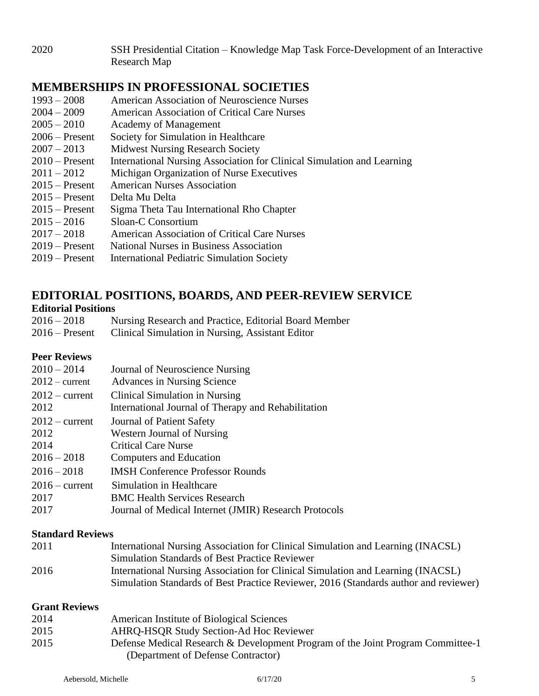2020 SSH Presidential Citation – Knowledge Map Task Force-Development of an Interactive Research Map

## **MEMBERSHIPS IN PROFESSIONAL SOCIETIES**

| $1993 - 2008$    | <b>American Association of Neuroscience Nurses</b>                     |
|------------------|------------------------------------------------------------------------|
| $2004 - 2009$    | American Association of Critical Care Nurses                           |
| $2005 - 2010$    | Academy of Management                                                  |
| $2006$ – Present | Society for Simulation in Healthcare                                   |
| $2007 - 2013$    | <b>Midwest Nursing Research Society</b>                                |
| $2010$ – Present | International Nursing Association for Clinical Simulation and Learning |
| $2011 - 2012$    | Michigan Organization of Nurse Executives                              |
| $2015$ – Present | <b>American Nurses Association</b>                                     |
| $2015$ – Present | Delta Mu Delta                                                         |
| $2015$ – Present | Sigma Theta Tau International Rho Chapter                              |
| $2015 - 2016$    | Sloan-C Consortium                                                     |
| $2017 - 2018$    | <b>American Association of Critical Care Nurses</b>                    |
| $2019$ – Present | <b>National Nurses in Business Association</b>                         |
| $2019$ – Present | <b>International Pediatric Simulation Society</b>                      |

## **EDITORIAL POSITIONS, BOARDS, AND PEER-REVIEW SERVICE**

#### **Editorial Positions**

| $2016 - 2018$    | Nursing Research and Practice, Editorial Board Member |
|------------------|-------------------------------------------------------|
| $2016$ – Present | Clinical Simulation in Nursing, Assistant Editor      |

#### **Peer Reviews**

| Journal of Neuroscience Nursing                       |
|-------------------------------------------------------|
| Advances in Nursing Science                           |
| Clinical Simulation in Nursing                        |
| International Journal of Therapy and Rehabilitation   |
| Journal of Patient Safety                             |
| Western Journal of Nursing                            |
| <b>Critical Care Nurse</b>                            |
| Computers and Education                               |
| <b>IMSH Conference Professor Rounds</b>               |
| Simulation in Healthcare                              |
| <b>BMC Health Services Research</b>                   |
| Journal of Medical Internet (JMIR) Research Protocols |
|                                                       |

#### **Standard Reviews**

| 2011 | International Nursing Association for Clinical Simulation and Learning (INACSL)      |
|------|--------------------------------------------------------------------------------------|
|      | <b>Simulation Standards of Best Practice Reviewer</b>                                |
| 2016 | International Nursing Association for Clinical Simulation and Learning (INACSL)      |
|      | Simulation Standards of Best Practice Reviewer, 2016 (Standards author and reviewer) |

#### **Grant Reviews**

| 2014 | American Institute of Biological Sciences                                                                             |
|------|-----------------------------------------------------------------------------------------------------------------------|
| 2015 | <b>AHRQ-HSQR Study Section-Ad Hoc Reviewer</b>                                                                        |
| 2015 | Defense Medical Research & Development Program of the Joint Program Committee-1<br>(Department of Defense Contractor) |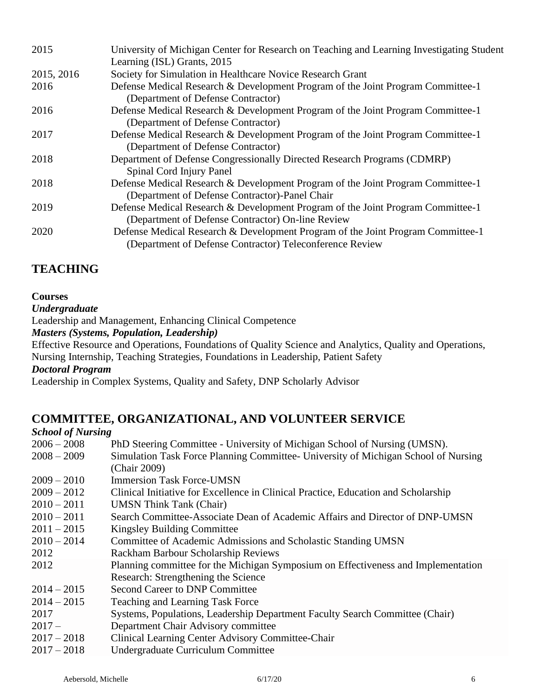| 2015       | University of Michigan Center for Research on Teaching and Learning Investigating Student<br>Learning (ISL) Grants, 2015                    |
|------------|---------------------------------------------------------------------------------------------------------------------------------------------|
| 2015, 2016 | Society for Simulation in Healthcare Novice Research Grant                                                                                  |
| 2016       | Defense Medical Research & Development Program of the Joint Program Committee-1<br>(Department of Defense Contractor)                       |
| 2016       | Defense Medical Research & Development Program of the Joint Program Committee-1<br>(Department of Defense Contractor)                       |
| 2017       | Defense Medical Research & Development Program of the Joint Program Committee-1<br>(Department of Defense Contractor)                       |
| 2018       | Department of Defense Congressionally Directed Research Programs (CDMRP)<br>Spinal Cord Injury Panel                                        |
| 2018       | Defense Medical Research & Development Program of the Joint Program Committee-1<br>(Department of Defense Contractor)-Panel Chair           |
| 2019       | Defense Medical Research & Development Program of the Joint Program Committee-1<br>(Department of Defense Contractor) On-line Review        |
| 2020       | Defense Medical Research & Development Program of the Joint Program Committee-1<br>(Department of Defense Contractor) Teleconference Review |

# **TEACHING**

#### **Courses**

#### *Undergraduate*

Leadership and Management, Enhancing Clinical Competence

*Masters (Systems, Population, Leadership)*

Effective Resource and Operations, Foundations of Quality Science and Analytics, Quality and Operations, Nursing Internship, Teaching Strategies, Foundations in Leadership, Patient Safety

*Doctoral Program*

Leadership in Complex Systems, Quality and Safety, DNP Scholarly Advisor

# **COMMITTEE, ORGANIZATIONAL, AND VOLUNTEER SERVICE**

#### *School of Nursing* 2006 – 2008 PhD Steering Committee - University of Michigan School of Nursing (UMSN). 2008 – 2009 Simulation Task Force Planning Committee- University of Michigan School of Nursing (Chair 2009) 2009 – 2010 Immersion Task Force-UMSN 2009 – 2012 Clinical Initiative for Excellence in Clinical Practice, Education and Scholarship 2010 – 2011 UMSN Think Tank (Chair) 2010 – 2011 Search Committee-Associate Dean of Academic Affairs and Director of DNP-UMSN 2011 – 2015 Kingsley Building Committee 2010 – 2014 Committee of Academic Admissions and Scholastic Standing UMSN 2012 Rackham Barbour Scholarship Reviews 2012 Planning committee for the Michigan Symposium on Effectiveness and Implementation Research: Strengthening the Science 2014 – 2015 Second Career to DNP Committee 2014 – 2015 Teaching and Learning Task Force 2017 Systems, Populations, Leadership Department Faculty Search Committee (Chair) 2017 – Department Chair Advisory committee 2017 – 2018 Clinical Learning Center Advisory Committee-Chair 2017 – 2018 Undergraduate Curriculum Committee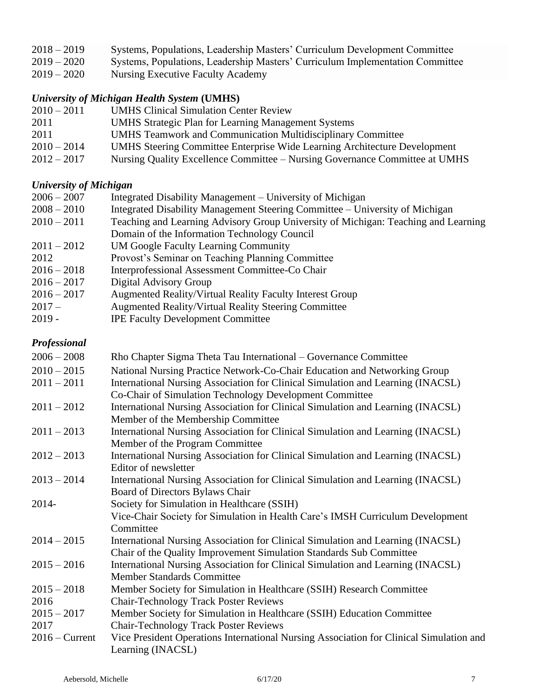| $2018 - 2019$ | Systems, Populations, Leadership Masters' Curriculum Development Committee    |
|---------------|-------------------------------------------------------------------------------|
| $2019 - 2020$ | Systems, Populations, Leadership Masters' Curriculum Implementation Committee |
| $2019 - 2020$ | Nursing Executive Faculty Academy                                             |

# *University of Michigan Health System* **(UMHS)**

| $2010 - 2011$ | <b>UMHS Clinical Simulation Center Review</b>                                    |
|---------------|----------------------------------------------------------------------------------|
| 2011          | <b>UMHS</b> Strategic Plan for Learning Management Systems                       |
| 2011          | <b>UMHS</b> Teamwork and Communication Multidisciplinary Committee               |
| $2010 - 2014$ | <b>UMHS</b> Steering Committee Enterprise Wide Learning Architecture Development |
| $2012 - 2017$ | Nursing Quality Excellence Committee – Nursing Governance Committee at UMHS      |

### *University of Michigan*

| $2006 - 2007$ | Integrated Disability Management – University of Michigan                          |
|---------------|------------------------------------------------------------------------------------|
| $2008 - 2010$ | Integrated Disability Management Steering Committee – University of Michigan       |
| $2010 - 2011$ | Teaching and Learning Advisory Group University of Michigan: Teaching and Learning |
|               | Domain of the Information Technology Council                                       |
| $2011 - 2012$ | <b>UM Google Faculty Learning Community</b>                                        |
| 2012          | Provost's Seminar on Teaching Planning Committee                                   |
| $2016 - 2018$ | Interprofessional Assessment Committee-Co Chair                                    |
| $2016 - 2017$ | Digital Advisory Group                                                             |
| $2016 - 2017$ | Augmented Reality/Virtual Reality Faculty Interest Group                           |
| $2017-$       | <b>Augmented Reality/Virtual Reality Steering Committee</b>                        |
| $2019 -$      | <b>IPE Faculty Development Committee</b>                                           |
|               |                                                                                    |

### *Professional*

| $2006 - 2008$    | Rho Chapter Sigma Theta Tau International – Governance Committee                                                   |
|------------------|--------------------------------------------------------------------------------------------------------------------|
| $2010 - 2015$    | National Nursing Practice Network-Co-Chair Education and Networking Group                                          |
| $2011 - 2011$    | International Nursing Association for Clinical Simulation and Learning (INACSL)                                    |
|                  | Co-Chair of Simulation Technology Development Committee                                                            |
| $2011 - 2012$    | International Nursing Association for Clinical Simulation and Learning (INACSL)                                    |
|                  | Member of the Membership Committee                                                                                 |
| $2011 - 2013$    | International Nursing Association for Clinical Simulation and Learning (INACSL)<br>Member of the Program Committee |
| $2012 - 2013$    | International Nursing Association for Clinical Simulation and Learning (INACSL)                                    |
|                  | Editor of newsletter                                                                                               |
| $2013 - 2014$    | International Nursing Association for Clinical Simulation and Learning (INACSL)                                    |
|                  | Board of Directors Bylaws Chair                                                                                    |
| 2014-            | Society for Simulation in Healthcare (SSIH)                                                                        |
|                  | Vice-Chair Society for Simulation in Health Care's IMSH Curriculum Development                                     |
|                  | Committee                                                                                                          |
| $2014 - 2015$    | International Nursing Association for Clinical Simulation and Learning (INACSL)                                    |
|                  | Chair of the Quality Improvement Simulation Standards Sub Committee                                                |
| $2015 - 2016$    | International Nursing Association for Clinical Simulation and Learning (INACSL)                                    |
|                  | <b>Member Standards Committee</b>                                                                                  |
| $2015 - 2018$    | Member Society for Simulation in Healthcare (SSIH) Research Committee                                              |
| 2016             | <b>Chair-Technology Track Poster Reviews</b>                                                                       |
| $2015 - 2017$    | Member Society for Simulation in Healthcare (SSIH) Education Committee                                             |
| 2017             | <b>Chair-Technology Track Poster Reviews</b>                                                                       |
| $2016$ – Current | Vice President Operations International Nursing Association for Clinical Simulation and                            |
|                  | Learning (INACSL)                                                                                                  |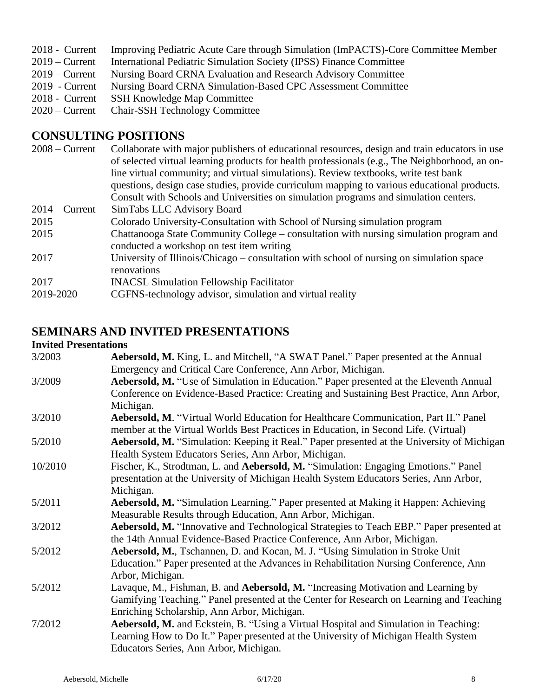- 2019 Current International Pediatric Simulation Society (IPSS) Finance Committee
- 2019 Current Nursing Board CRNA Evaluation and Research Advisory Committee<br>2019 Current Nursing Board CRNA Simulation-Based CPC Assessment Committee
- 2019 Current Nursing Board CRNA Simulation-Based CPC Assessment Committee<br>2018 Current SSH Knowledge Map Committee
- SSH Knowledge Map Committee
- 2020 Current Chair-SSH Technology Committee

### **CONSULTING POSITIONS**

| Collaborate with major publishers of educational resources, design and train educators in use                                       |
|-------------------------------------------------------------------------------------------------------------------------------------|
| of selected virtual learning products for health professionals (e.g., The Neighborhood, an on-                                      |
| line virtual community; and virtual simulations). Review textbooks, write test bank                                                 |
| questions, design case studies, provide curriculum mapping to various educational products.                                         |
| Consult with Schools and Universities on simulation programs and simulation centers.                                                |
| SimTabs LLC Advisory Board                                                                                                          |
| Colorado University-Consultation with School of Nursing simulation program                                                          |
| Chattanooga State Community College – consultation with nursing simulation program and<br>conducted a workshop on test item writing |
| University of Illinois/Chicago – consultation with school of nursing on simulation space<br>renovations                             |
| <b>INACSL Simulation Fellowship Facilitator</b>                                                                                     |
| CGFNS-technology advisor, simulation and virtual reality                                                                            |
|                                                                                                                                     |

## **SEMINARS AND INVITED PRESENTATIONS**

#### **Invited Presentations**

| 3/2003  | Aebersold, M. King, L. and Mitchell, "A SWAT Panel." Paper presented at the Annual                |
|---------|---------------------------------------------------------------------------------------------------|
|         | Emergency and Critical Care Conference, Ann Arbor, Michigan.                                      |
| 3/2009  | Aebersold, M. "Use of Simulation in Education." Paper presented at the Eleventh Annual            |
|         | Conference on Evidence-Based Practice: Creating and Sustaining Best Practice, Ann Arbor,          |
|         | Michigan.                                                                                         |
| 3/2010  | Aebersold, M. "Virtual World Education for Healthcare Communication, Part II." Panel              |
|         | member at the Virtual Worlds Best Practices in Education, in Second Life. (Virtual)               |
| 5/2010  | <b>Aebersold, M.</b> "Simulation: Keeping it Real." Paper presented at the University of Michigan |
|         | Health System Educators Series, Ann Arbor, Michigan.                                              |
| 10/2010 | Fischer, K., Strodtman, L. and Aebersold, M. "Simulation: Engaging Emotions." Panel               |
|         | presentation at the University of Michigan Health System Educators Series, Ann Arbor,             |
|         | Michigan.                                                                                         |
| 5/2011  | Aebersold, M. "Simulation Learning." Paper presented at Making it Happen: Achieving               |
|         | Measurable Results through Education, Ann Arbor, Michigan.                                        |
| 3/2012  | Aebersold, M. "Innovative and Technological Strategies to Teach EBP." Paper presented at          |
|         | the 14th Annual Evidence-Based Practice Conference, Ann Arbor, Michigan.                          |
| 5/2012  | Aebersold, M., Tschannen, D. and Kocan, M. J. "Using Simulation in Stroke Unit                    |
|         | Education." Paper presented at the Advances in Rehabilitation Nursing Conference, Ann             |
|         | Arbor, Michigan.                                                                                  |
| 5/2012  | Lavaque, M., Fishman, B. and Aebersold, M. "Increasing Motivation and Learning by                 |
|         | Gamifying Teaching." Panel presented at the Center for Research on Learning and Teaching          |
|         | Enriching Scholarship, Ann Arbor, Michigan.                                                       |
| 7/2012  | <b>Aebersold, M.</b> and Eckstein, B. "Using a Virtual Hospital and Simulation in Teaching:       |
|         | Learning How to Do It." Paper presented at the University of Michigan Health System               |
|         | Educators Series, Ann Arbor, Michigan.                                                            |
|         |                                                                                                   |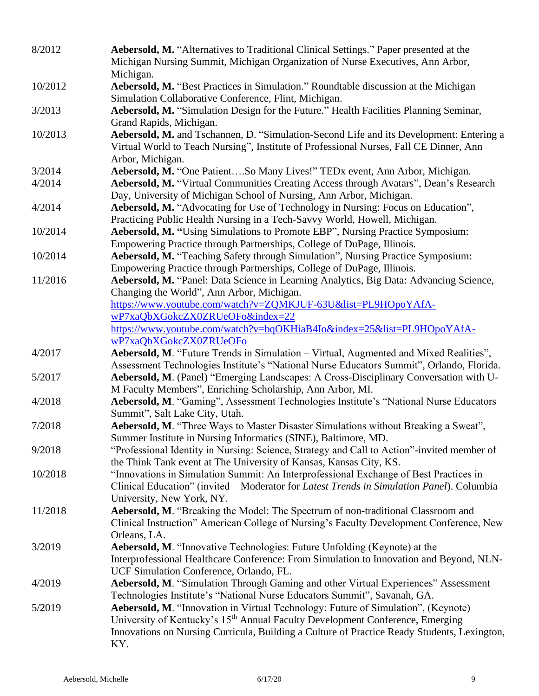| 8/2012  | Aebersold, M. "Alternatives to Traditional Clinical Settings." Paper presented at the<br>Michigan Nursing Summit, Michigan Organization of Nurse Executives, Ann Arbor,<br>Michigan.                            |
|---------|-----------------------------------------------------------------------------------------------------------------------------------------------------------------------------------------------------------------|
| 10/2012 | Aebersold, M. "Best Practices in Simulation." Roundtable discussion at the Michigan<br>Simulation Collaborative Conference, Flint, Michigan.                                                                    |
| 3/2013  | Aebersold, M. "Simulation Design for the Future." Health Facilities Planning Seminar,<br>Grand Rapids, Michigan.                                                                                                |
| 10/2013 | Aebersold, M. and Tschannen, D. "Simulation-Second Life and its Development: Entering a<br>Virtual World to Teach Nursing", Institute of Professional Nurses, Fall CE Dinner, Ann<br>Arbor, Michigan.           |
| 3/2014  | Aebersold, M. "One PatientSo Many Lives!" TEDx event, Ann Arbor, Michigan.                                                                                                                                      |
| 4/2014  | Aebersold, M. "Virtual Communities Creating Access through Avatars", Dean's Research<br>Day, University of Michigan School of Nursing, Ann Arbor, Michigan.                                                     |
| 4/2014  | Aebersold, M. "Advocating for Use of Technology in Nursing: Focus on Education",<br>Practicing Public Health Nursing in a Tech-Savvy World, Howell, Michigan.                                                   |
| 10/2014 | Aebersold, M. "Using Simulations to Promote EBP", Nursing Practice Symposium:<br>Empowering Practice through Partnerships, College of DuPage, Illinois.                                                         |
| 10/2014 | Aebersold, M. "Teaching Safety through Simulation", Nursing Practice Symposium:                                                                                                                                 |
|         | Empowering Practice through Partnerships, College of DuPage, Illinois.                                                                                                                                          |
| 11/2016 | Aebersold, M. "Panel: Data Science in Learning Analytics, Big Data: Advancing Science,                                                                                                                          |
|         | Changing the World", Ann Arbor, Michigan.                                                                                                                                                                       |
|         | https://www.youtube.com/watch?v=ZQMKJUF-63U&list=PL9HOpoYAfA-                                                                                                                                                   |
|         | wP7xaQbXGokcZX0ZRUeOFo&index=22                                                                                                                                                                                 |
|         | https://www.youtube.com/watch?v=bqOKHiaB4Io&index=25&list=PL9HOpoYAfA-<br>wP7xaQbXGokcZX0ZRUeOFo                                                                                                                |
| 4/2017  | Aebersold, M. "Future Trends in Simulation – Virtual, Augmented and Mixed Realities",                                                                                                                           |
|         | Assessment Technologies Institute's "National Nurse Educators Summit", Orlando, Florida.                                                                                                                        |
| 5/2017  | Aebersold, M. (Panel) "Emerging Landscapes: A Cross-Disciplinary Conversation with U-<br>M Faculty Members", Enriching Scholarship, Ann Arbor, MI.                                                              |
| 4/2018  | Aebersold, M. "Gaming", Assessment Technologies Institute's "National Nurse Educators<br>Summit", Salt Lake City, Utah.                                                                                         |
| 7/2018  | Aebersold, M. "Three Ways to Master Disaster Simulations without Breaking a Sweat",<br>Summer Institute in Nursing Informatics (SINE), Baltimore, MD.                                                           |
| 9/2018  | "Professional Identity in Nursing: Science, Strategy and Call to Action"-invited member of<br>the Think Tank event at The University of Kansas, Kansas City, KS.                                                |
| 10/2018 | "Innovations in Simulation Summit: An Interprofessional Exchange of Best Practices in<br>Clinical Education" (invited – Moderator for Latest Trends in Simulation Panel). Columbia<br>University, New York, NY. |
| 11/2018 | Aebersold, M. "Breaking the Model: The Spectrum of non-traditional Classroom and<br>Clinical Instruction" American College of Nursing's Faculty Development Conference, New<br>Orleans, LA.                     |
| 3/2019  | Aebersold, M. "Innovative Technologies: Future Unfolding (Keynote) at the<br>Interprofessional Healthcare Conference: From Simulation to Innovation and Beyond, NLN-<br>UCF Simulation Conference, Orlando, FL. |
| 4/2019  | Aebersold, M. "Simulation Through Gaming and other Virtual Experiences" Assessment                                                                                                                              |
|         | Technologies Institute's "National Nurse Educators Summit", Savanah, GA.                                                                                                                                        |
| 5/2019  | Aebersold, M. "Innovation in Virtual Technology: Future of Simulation", (Keynote)<br>University of Kentucky's 15 <sup>th</sup> Annual Faculty Development Conference, Emerging                                  |
|         | Innovations on Nursing Curricula, Building a Culture of Practice Ready Students, Lexington,<br>KY.                                                                                                              |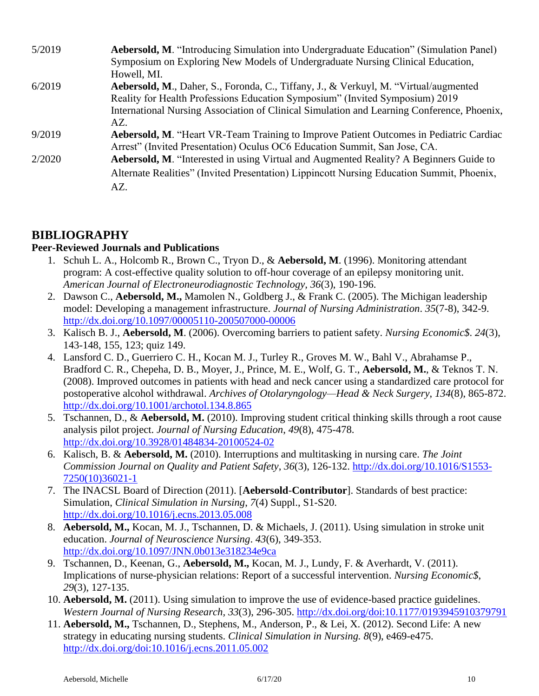| 5/2019 | <b>Aebersold, M.</b> "Introducing Simulation into Undergraduate Education" (Simulation Panel) |
|--------|-----------------------------------------------------------------------------------------------|
|        | Symposium on Exploring New Models of Undergraduate Nursing Clinical Education,                |
|        | Howell, MI.                                                                                   |
| 6/2019 | Aebersold, M., Daher, S., Foronda, C., Tiffany, J., & Verkuyl, M. "Virtual/augmented          |
|        | Reality for Health Professions Education Symposium" (Invited Symposium) 2019                  |
|        | International Nursing Association of Clinical Simulation and Learning Conference, Phoenix,    |
|        | AZ.                                                                                           |
| 9/2019 | <b>Aebersold, M.</b> "Heart VR-Team Training to Improve Patient Outcomes in Pediatric Cardiac |
|        | Arrest" (Invited Presentation) Oculus OC6 Education Summit, San Jose, CA.                     |
| 2/2020 | Aebersold, M. "Interested in using Virtual and Augmented Reality? A Beginners Guide to        |
|        | Alternate Realities" (Invited Presentation) Lippincott Nursing Education Summit, Phoenix,     |
|        | AZ.                                                                                           |

# **BIBLIOGRAPHY**

#### **Peer-Reviewed Journals and Publications**

- 1. [Schuh L.](javascript:__doLinkPostBack() A., [Holcomb R.](javascript:__doLinkPostBack(), [Brown C.](javascript:__doLinkPostBack(), [Tryon D.](javascript:__doLinkPostBack(), & **[Aebersold,](javascript:__doLinkPostBack() M**. (1996). Monitoring attendant program: A cost-effective quality solution to off-hour coverage of an epilepsy monitoring unit. *American Journal of Electroneurodiagnostic Technology, 36*(3), 190-196.
- 2. Dawson C., **Aebersold, M.,** Mamolen N., Goldberg J., & Frank C. (2005). [The Michigan leadership](http://www.ncbi.nlm.nih.gov.proxy.lib.umich.edu/pubmed/16077276?itool=EntrezSystem2.PEntrez.Pubmed.Pubmed_ResultsPanel.Pubmed_RVDocSum&ordinalpos=3)  [model: Developing a management infrastructure.](http://www.ncbi.nlm.nih.gov.proxy.lib.umich.edu/pubmed/16077276?itool=EntrezSystem2.PEntrez.Pubmed.Pubmed_ResultsPanel.Pubmed_RVDocSum&ordinalpos=3) *Journal of Nursing Administration*. *35*(7-8), 342-9. <http://dx.doi.org/10.1097/00005110-200507000-00006>
- 3. Kalisch B. J., **Aebersold, M**. (2006). [Overcoming barriers to patient safety.](http://www.ncbi.nlm.nih.gov.proxy.lib.umich.edu/pubmed/16786829?itool=EntrezSystem2.PEntrez.Pubmed.Pubmed_ResultsPanel.Pubmed_RVDocSum&ordinalpos=2) *Nursing Economic\$*. *24*(3), 143-148, 155, 123; quiz 149.
- 4. Lansford C. D., Guerriero C. H., Kocan M. J., Turley R., Groves M. W., Bahl V., Abrahamse P., Bradford C. R., Chepeha, D. B., Moyer, J., Prince, M. E., Wolf, G. T., **Aebersold, M.**, & Teknos T. N. (2008). [Improved outcomes in patients with head and neck cancer using a standardized care protocol for](http://www.ncbi.nlm.nih.gov.proxy.lib.umich.edu/pubmed/18711062?itool=EntrezSystem2.PEntrez.Pubmed.Pubmed_ResultsPanel.Pubmed_RVDocSum&ordinalpos=1) [postoperative alcohol withdrawal.](http://www.ncbi.nlm.nih.gov.proxy.lib.umich.edu/pubmed/18711062?itool=EntrezSystem2.PEntrez.Pubmed.Pubmed_ResultsPanel.Pubmed_RVDocSum&ordinalpos=1) *Archives of Otolaryngology—Head & Neck Surgery*, *134*(8), 865-872. <http://dx.doi.org/10.1001/archotol.134.8.865>
- 5. Tschannen, D., & **Aebersold, M.** (2010). Improving student critical thinking skills through a root cause analysis pilot project. *Journal of Nursing Education*, *49*(8), 475-478. <http://dx.doi.org/10.3928/01484834-20100524-02>
- 6. Kalisch, B. & **Aebersold, M.** (2010). Interruptions and multitasking in nursing care. *The Joint Commission Journal on Quality and Patient Safety*, *36*(3), 126-132. [http://dx.doi.org/10.1016/S1553-](http://dx.doi.org/10.1016/S1553-7250(10)36021-1) [7250\(10\)36021-1](http://dx.doi.org/10.1016/S1553-7250(10)36021-1)
- 7. The INACSL Board of Direction (2011). [**Aebersold**-**Contributor**]. Standards of best practice: Simulation, *Clinical Simulation in Nursing*, *7*(4) Suppl., S1-S20. <http://dx.doi.org/10.1016/j.ecns.2013.05.008>
- 8. **Aebersold, M.,** Kocan, M. J., Tschannen, D. & Michaels, J. (2011). Using simulation in stroke unit education. *Journal of Neuroscience Nursing*. *43*(6), 349-353. <http://dx.doi.org/10.1097/JNN.0b013e318234e9ca>
- 9. Tschannen, D., Keenan, G., **Aebersold, M.,** Kocan, M. J., Lundy, F. & Averhardt, V. (2011). Implications of nurse-physician relations: Report of a successful intervention. *Nursing Economic\$*, *29*(3), 127-135.
- 10. **Aebersold, M.** (2011). Using simulation to improve the use of evidence-based practice guidelines. *Western Journal of Nursing Research, 33*(3), 296-305.<http://dx.doi.org/doi:10.1177/0193945910379791>
- 11. **Aebersold, M.,** Tschannen, D., Stephens, M., Anderson, P., & Lei, X. (2012). Second Life: A new strategy in educating nursing students. *Clinical Simulation in Nursing. 8*(9), e469-e475. <http://dx.doi.org/doi:10.1016/j.ecns.2011.05.002>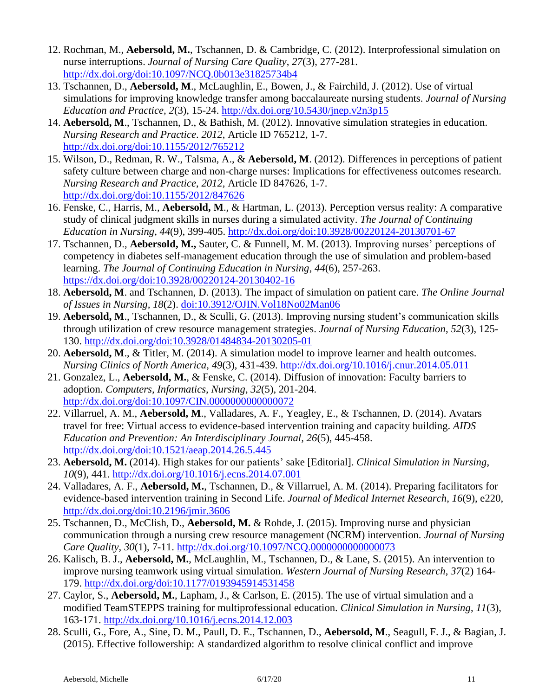- 12. Rochman, M., **Aebersold, M.**, Tschannen, D. & Cambridge, C. (2012). Interprofessional simulation on nurse interruptions. *Journal of Nursing Care Quality*, *27*(3), 277-281. <http://dx.doi.org/doi:10.1097/NCQ.0b013e31825734b4>
- 13. Tschannen, D., **Aebersold, M**., McLaughlin, E., Bowen, J., & Fairchild, J. (2012). Use of virtual simulations for improving knowledge transfer among baccalaureate nursing students. *Journal of Nursing Education and Practice, 2*(3), 15-24.<http://dx.doi.org/10.5430/jnep.v2n3p15>
- 14. **Aebersold, M**., Tschannen, D., & Bathish, M. (2012). Innovative simulation strategies in education. *Nursing Research and Practice*. *2012*, Article ID 765212, 1-7. <http://dx.doi.org/doi:10.1155/2012/765212>
- 15. Wilson, D., Redman, R. W., Talsma, A., & **Aebersold, M**. (2012). Differences in perceptions of patient safety culture between charge and non-charge nurses: Implications for effectiveness outcomes research. *Nursing Research and Practice*, *2012,* Article ID 847626, 1-7. <http://dx.doi.org/doi:10.1155/2012/847626>
- 16. Fenske, C., Harris, M., **Aebersold, M**., & Hartman, L. (2013). Perception versus reality: A comparative study of clinical judgment skills in nurses during a simulated activity. *The Journal of Continuing Education in Nursing, 44*(9), 399-405.<http://dx.doi.org/doi:10.3928/00220124-20130701-67>
- 17. Tschannen, D., **Aebersold, M.,** Sauter, C. & Funnell, M. M. (2013). Improving nurses' perceptions of competency in diabetes self-management education through the use of simulation and problem-based learning. *The Journal of Continuing Education in Nursing*, *44*(6), 257-263. <https://dx.doi.org/doi:10.3928/00220124-20130402-16>
- 18. **Aebersold, M**. and Tschannen, D. (2013). The impact of simulation on patient care. *The Online Journal of Issues in Nursing, 18*(2). [doi:10.3912/OJIN.Vol18No02Man06](https://dx.doi.org/doi:10.3912/OJIN.Vol18No02Man06)
- 19. **Aebersold, M**., Tschannen, D., & Sculli, G. (2013). Improving nursing student's communication skills through utilization of crew resource management strategies. *Journal of Nursing Education*, *52*(3), 125- 130. <http://dx.doi.org/doi:10.3928/01484834-20130205-01>
- 20. **Aebersold, M**., & Titler, M. (2014). A simulation model to improve learner and health outcomes. *Nursing Clinics of North America*, *49*(3), 431-439. <http://dx.doi.org/10.1016/j.cnur.2014.05.011>
- 21. Gonzalez, L., **Aebersold, M.**, & Fenske, C. (2014). Diffusion of innovation: Faculty barriers to adoption. *Computers, Informatics, Nursing*, *32*(5), 201-204. <http://dx.doi.org/doi:10.1097/CIN.0000000000000072>
- 22. Villarruel, A. M., **Aebersold, M**., Valladares, A. F., Yeagley, E., & Tschannen, D. (2014). Avatars travel for free: Virtual access to evidence-based intervention training and capacity building. *AIDS Education and Prevention: An Interdisciplinary Journal, 26*(5), 445-458. <http://dx.doi.org/doi:10.1521/aeap.2014.26.5.445>
- 23. **Aebersold, M.** (2014). High stakes for our patients' sake [Editorial]. *Clinical Simulation in Nursing*, *10*(9), 441. <http://dx.doi.org/10.1016/j.ecns.2014.07.001>
- 24. Valladares, A. F., **Aebersold, M.**, Tschannen, D., & Villarruel, A. M. (2014). Preparing facilitators for evidence-based intervention training in Second Life. *Journal of Medical Internet Research*, *16*(9), e220, <http://dx.doi.org/doi:10.2196/jmir.3606>
- 25. Tschannen, D., McClish, D., **Aebersold, M.** & Rohde, J. (2015). Improving nurse and physician communication through a nursing crew resource management (NCRM) intervention. *Journal of Nursing Care Quality*, *30*(1), 7-11. <http://dx.doi.org/10.1097/NCQ.0000000000000073>
- 26. Kalisch, B. J., **Aebersold, M.**, McLaughlin, M., Tschannen, D., & Lane, S. (2015). An intervention to improve nursing teamwork using virtual simulation. *Western Journal of Nursing Research*, *37*(2) 164- 179.<http://dx.doi.org/doi:10.1177/0193945914531458>
- 27. Caylor, S., **Aebersold, M.**, Lapham, J., & Carlson, E. (2015). The use of virtual simulation and a modified TeamSTEPPS training for multiprofessional education. *Clinical Simulation in Nursing*, *11*(3), 163-171.<http://dx.doi.org/10.1016/j.ecns.2014.12.003>
- 28. Sculli, G., Fore, A., Sine, D. M., Paull, D. E., Tschannen, D., **Aebersold, M**., Seagull, F. J., & Bagian, J. (2015). Effective followership: A standardized algorithm to resolve clinical conflict and improve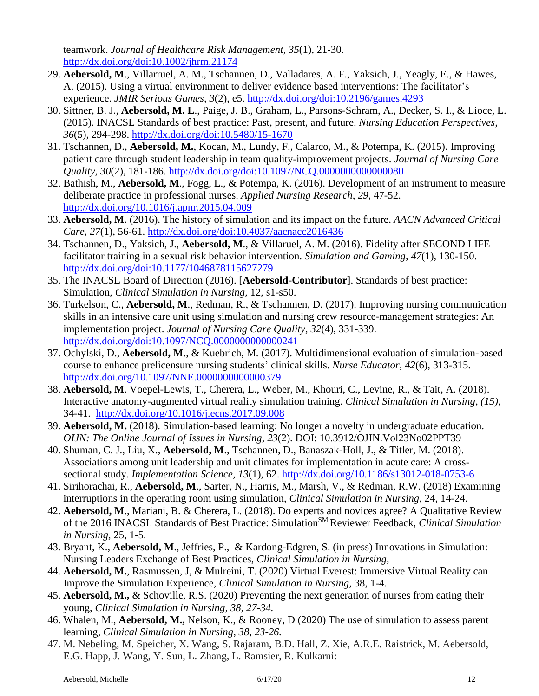teamwork. *Journal of Healthcare Risk Management, 35*(1), 21-30. <http://dx.doi.org/doi:10.1002/jhrm.21174>

- 29. **Aebersold, M**., Villarruel, A. M., Tschannen, D., Valladares, A. F., Yaksich, J., Yeagly, E., & Hawes, A. (2015). Using a virtual environment to deliver evidence based interventions: The facilitator's experience. *JMIR Serious Games, 3*(2), e5. <http://dx.doi.org/doi:10.2196/games.4293>
- 30. Sittner, B. J., **Aebersold, M. L**., Paige, J. B., Graham, L., Parsons-Schram, A., Decker, S. I., & Lioce, L. (2015). INACSL Standards of best practice: Past, present, and future. *Nursing Education Perspectives, 36*(5), 294-298. <http://dx.doi.org/doi:10.5480/15-1670>
- 31. Tschannen, D., **Aebersold, M.**, Kocan, M., Lundy, F., Calarco, M., & Potempa, K. (2015). Improving patient care through student leadership in team quality-improvement projects. *Journal of Nursing Care Quality, 30*(2), 181-186.<http://dx.doi.org/doi:10.1097/NCQ.0000000000000080>
- 32. Bathish, M., **Aebersold, M**., Fogg, L., & Potempa, K. (2016). Development of an instrument to measure deliberate practice in professional nurses. *Applied Nursing Research*, *29*, 47-52. <http://dx.doi.org/10.1016/j.apnr.2015.04.009>
- 33. **Aebersold, M**. (2016). The history of simulation and its impact on the future. *AACN Advanced Critical Care*, *27*(1), 56-61.<http://dx.doi.org/doi:10.4037/aacnacc2016436>
- 34. Tschannen, D., Yaksich, J., **Aebersold, M**., & Villaruel, A. M. (2016). Fidelity after SECOND LIFE facilitator training in a sexual risk behavior intervention. *Simulation and Gaming*, *47*(1), 130-150. <http://dx.doi.org/doi:10.1177/1046878115627279>
- 35. The INACSL Board of Direction (2016). [**Aebersold**-**Contributor**]. Standards of best practice: Simulation, *Clinical Simulation in Nursing,* 12, s1-s50.
- 36. Turkelson, C., **Aebersold, M**., Redman, R., & Tschannen, D. (2017). Improving nursing communication skills in an intensive care unit using simulation and nursing crew resource-management strategies: An implementation project. *Journal of Nursing Care Quality, 32*(4), 331-339. <http://dx.doi.org/doi:10.1097/NCQ.0000000000000241>
- 37. Ochylski, D., **Aebersold, M**., & Kuebrich, M. (2017). Multidimensional evaluation of simulation-based course to enhance prelicensure nursing students' clinical skills. *Nurse Educator, 42*(6), 313-315. <http://dx.doi.org/10.1097/NNE.0000000000000379>
- 38. **Aebersold, M**. Voepel-Lewis, T., Cherera, L., Weber, M., Khouri, C., Levine, R., & Tait, A. (2018). Interactive anatomy-augmented virtual reality simulation training. *Clinical Simulation in Nursing, (15),* 34-41. <http://dx.doi.org/10.1016/j.ecns.2017.09.008>
- 39. **Aebersold, M.** (2018). Simulation-based learning: No longer a novelty in undergraduate education. *OIJN: The Online Journal of Issues in Nursing, 23*(2). DOI: 10.3912/OJIN.Vol23No02PPT39
- 40. Shuman, C. J., Liu, X., **Aebersold, M**., Tschannen, D., Banaszak-Holl, J., & Titler, M. (2018). Associations among unit leadership and unit climates for implementation in acute care: A crosssectional study. *Implementation Science, 13*(1), 62. <http://dx.doi.org/10.1186/s13012-018-0753-6>
- 41. Sirihorachai, R., **Aebersold, M**., Sarter, N., Harris, M., Marsh, V., & Redman, R.W. (2018) Examining interruptions in the operating room using simulation, *Clinical Simulation in Nursing,* 24, 14-24.
- 42. **Aebersold, M**., Mariani, B. & Cherera, L. (2018). Do experts and novices agree? A Qualitative Review of the 2016 INACSL Standards of Best Practice: Simulation<sup>SM</sup> Reviewer Feedback, *Clinical Simulation in Nursing,* 25, 1-5.
- 43. Bryant, K., **Aebersold, M**., Jeffries, P., & Kardong-Edgren, S. (in press) Innovations in Simulation: Nursing Leaders Exchange of Best Practices, *Clinical Simulation in Nursing,*
- 44. **Aebersold, M.**, Rasmussen, J, & Mulreini, T. (2020) Virtual Everest: Immersive Virtual Reality can Improve the Simulation Experience, *Clinical Simulation in Nursing,* 38, 1-4.
- 45. **Aebersold, M.,** & Schoville, R.S. (2020) Preventing the next generation of nurses from eating their young, *Clinical Simulation in Nursing, 38, 27-34.*
- 46. Whalen, M., **Aebersold, M.,** Nelson, K., & Rooney, D (2020) The use of simulation to assess parent learning, *Clinical Simulation in Nursing, 38, 23-26.*
- 47. M. Nebeling, M. Speicher, X. Wang, S. Rajaram, B.D. Hall, Z. Xie, A.R.E. Raistrick, M. Aebersold, E.G. Happ, J. Wang, Y. Sun, L. Zhang, L. Ramsier, R. Kulkarni: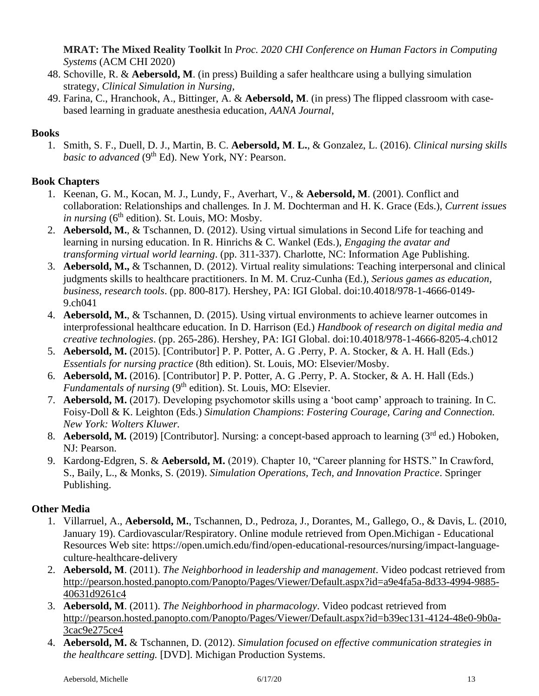**MRAT: The Mixed Reality Toolkit** In *Proc. 2020 CHI Conference on Human Factors in Computing Systems* (ACM CHI 2020)

- 48. Schoville, R. & **Aebersold, M**. (in press) Building a safer healthcare using a bullying simulation strategy, *Clinical Simulation in Nursing,*
- 49. Farina, C., Hranchook, A., Bittinger, A. & **Aebersold, M**. (in press) The flipped classroom with casebased learning in graduate anesthesia education, *AANA Journal*,

### **Books**

1. Smith, S. F., Duell, D. J., Martin, B. C. **Aebersold, M**. **L.**, & Gonzalez, L. (2016). *Clinical nursing skills*  basic to advanced (9<sup>th</sup> Ed). New York, NY: Pearson.

### **Book Chapters**

- 1. Keenan, G. M., Kocan, M. J., Lundy, F., Averhart, V., & **Aebersold, M**. (2001). Conflict and collaboration: Relationships and challenges*.* In J. M. Dochterman and H. K. Grace (Eds.), *Current issues in nursing* ( $6<sup>th</sup>$  edition). St. Louis, MO: Mosby.
- 2. **Aebersold, M.**, & Tschannen, D. (2012). Using virtual simulations in Second Life for teaching and learning in nursing education. In R. Hinrichs & C. Wankel (Eds.), *Engaging the avatar and transforming virtual world learning*. (pp. 311-337). Charlotte, NC: Information Age Publishing.
- 3. **Aebersold, M.,** & Tschannen, D. (2012). Virtual reality simulations: Teaching interpersonal and clinical judgments skills to healthcare practitioners. In M. M. Cruz-Cunha (Ed.), *Serious games as education, business, research tools*. (pp. 800-817). Hershey, PA: IGI Global. doi:10.4018/978-1-4666-0149- 9.ch041
- 4. **Aebersold, M.**, & Tschannen, D. (2015). Using virtual environments to achieve learner outcomes in interprofessional healthcare education. In D. Harrison (Ed.) *Handbook of research on digital media and creative technologies*. (pp. 265-286). Hershey, PA: IGI Global. doi:10.4018/978-1-4666-8205-4.ch012
- 5. **Aebersold, M.** (2015). [Contributor] P. P. Potter, A. G .Perry, P. A. Stocker, & A. H. Hall (Eds.) *Essentials for nursing practice* (8th edition). St. Louis, MO: Elsevier/Mosby.
- 6. **Aebersold, M.** (2016). [Contributor] P. P. Potter, A. G .Perry, P. A. Stocker, & A. H. Hall (Eds.) *Fundamentals of nursing* (9<sup>th</sup> edition). St. Louis, MO: Elsevier.
- 7. **Aebersold, M.** (2017). Developing psychomotor skills using a 'boot camp' approach to training*.* In C. Foisy-Doll & K. Leighton (Eds.) *Simulation Champions*: *Fostering Courage, Caring and Connection. New York: Wolters Kluwer.*
- 8. **Aebersold, M.** (2019) [Contributor]. Nursing: a concept-based approach to learning (3<sup>rd</sup> ed.) Hoboken. NJ: Pearson.
- 9. Kardong-Edgren, S. & **Aebersold, M.** (2019). Chapter 10, "Career planning for HSTS." In Crawford, S., Baily, L., & Monks, S. (2019). *Simulation Operations, Tech, and Innovation Practice*. Springer Publishing.

### **Other Media**

- 1. Villarruel, A., **Aebersold, M.**, Tschannen, D., Pedroza, J., Dorantes, M., Gallego, O., & Davis, L. (2010, January 19). Cardiovascular/Respiratory. Online module retrieved from Open.Michigan - Educational Resources Web site: https://open.umich.edu/find/open-educational-resources/nursing/impact-languageculture-healthcare-delivery
- 2. **Aebersold, M**. (2011). *The Neighborhood in leadership and management*. Video podcast retrieved from [http://pearson.hosted.panopto.com/Panopto/Pages/Viewer/Default.aspx?id=a9e4fa5a-8d33-4994-9885-](http://pearson.hosted.panopto.com/Panopto/Pages/Viewer/Default.aspx?id=a9e4fa5a-8d33-4994-9885-40631d9261c4) [40631d9261c4](http://pearson.hosted.panopto.com/Panopto/Pages/Viewer/Default.aspx?id=a9e4fa5a-8d33-4994-9885-40631d9261c4)
- 3. **Aebersold, M**. (2011). *The Neighborhood in pharmacology*. Video podcast retrieved from [http://pearson.hosted.panopto.com/Panopto/Pages/Viewer/Default.aspx?id=b39ec131-4124-48e0-9b0a-](http://pearson.hosted.panopto.com/Panopto/Pages/Viewer/Default.aspx?id=b39ec131-4124-48e0-9b0a-3cac9e275ce4)[3cac9e275ce4](http://pearson.hosted.panopto.com/Panopto/Pages/Viewer/Default.aspx?id=b39ec131-4124-48e0-9b0a-3cac9e275ce4)
- 4. **Aebersold, M.** & Tschannen, D. (2012). *Simulation focused on effective communication strategies in the healthcare setting.* [DVD]. Michigan Production Systems.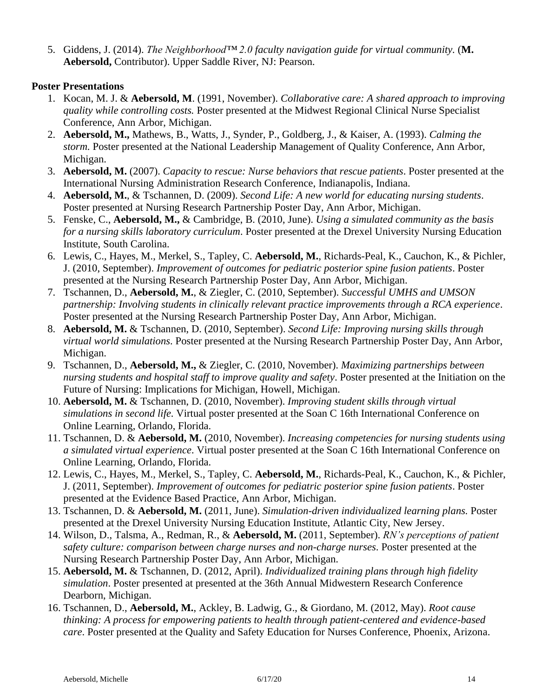5. Giddens, J. (2014). *The Neighborhood™ 2.0 faculty navigation guide for virtual community.* (**M. Aebersold,** Contributor). Upper Saddle River, NJ: Pearson.

#### **Poster Presentations**

- 1. Kocan, M. J. & **Aebersold, M**. (1991, November). *Collaborative care: A shared approach to improving quality while controlling costs.* Poster presented at the Midwest Regional Clinical Nurse Specialist Conference, Ann Arbor, Michigan.
- 2. **Aebersold, M.,** Mathews, B., Watts, J., Synder, P., Goldberg, J., & Kaiser, A. (1993). *Calming the storm.* Poster presented at the National Leadership Management of Quality Conference, Ann Arbor, Michigan.
- 3. **Aebersold, M.** (2007). *Capacity to rescue: Nurse behaviors that rescue patients*. Poster presented at the International Nursing Administration Research Conference, Indianapolis, Indiana.
- 4. **Aebersold, M.**, & Tschannen, D. (2009). *Second Life: A new world for educating nursing students*. Poster presented at Nursing Research Partnership Poster Day, Ann Arbor, Michigan.
- 5. Fenske, C., **Aebersold, M.,** & Cambridge, B. (2010, June). *Using a simulated community as the basis for a nursing skills laboratory curriculum*. Poster presented at the Drexel University Nursing Education Institute, South Carolina.
- 6. Lewis, C., Hayes, M., Merkel, S., Tapley, C. **Aebersold, M.**, Richards-Peal, K., Cauchon, K., & Pichler, J. (2010, September). *Improvement of outcomes for pediatric posterior spine fusion patients*. Poster presented at the Nursing Research Partnership Poster Day, Ann Arbor, Michigan.
- 7. Tschannen, D., **Aebersold, M.**, & Ziegler, C. (2010, September). *Successful UMHS and UMSON partnership: Involving students in clinically relevant practice improvements through a RCA experience*. Poster presented at the Nursing Research Partnership Poster Day, Ann Arbor, Michigan.
- 8. **Aebersold, M.** & Tschannen, D. (2010, September). *Second Life: Improving nursing skills through virtual world simulations*. Poster presented at the Nursing Research Partnership Poster Day, Ann Arbor, Michigan.
- 9. Tschannen, D., **Aebersold, M.,** & Ziegler, C. (2010, November). *Maximizing partnerships between nursing students and hospital staff to improve quality and safety*. Poster presented at the Initiation on the Future of Nursing: Implications for Michigan, Howell, Michigan.
- 10. **Aebersold, M.** & Tschannen, D. (2010, November). *Improving student skills through virtual simulations in second life*. Virtual poster presented at the Soan C 16th International Conference on Online Learning, Orlando, Florida.
- 11. Tschannen, D. & **Aebersold, M.** (2010, November). *Increasing competencies for nursing students using a simulated virtual experience*. Virtual poster presented at the Soan C 16th International Conference on Online Learning, Orlando, Florida.
- 12. Lewis, C., Hayes, M., Merkel, S., Tapley, C. **Aebersold, M.**, Richards-Peal, K., Cauchon, K., & Pichler, J. (2011, September). *Improvement of outcomes for pediatric posterior spine fusion patients*. Poster presented at the Evidence Based Practice, Ann Arbor, Michigan.
- 13. Tschannen, D. & **Aebersold, M.** (2011, June). *Simulation-driven individualized learning plans.* Poster presented at the Drexel University Nursing Education Institute, Atlantic City, New Jersey.
- 14. Wilson, D., Talsma, A., Redman, R., & **Aebersold, M.** (2011, September). *RN's perceptions of patient safety culture: comparison between charge nurses and non-charge nurses*. Poster presented at the Nursing Research Partnership Poster Day, Ann Arbor, Michigan.
- 15. **Aebersold, M.** & Tschannen, D. (2012, April). *Individualized training plans through high fidelity simulation*. Poster presented at presented at the 36th Annual Midwestern Research Conference Dearborn, Michigan.
- 16. Tschannen, D., **Aebersold, M.**, Ackley, B. Ladwig, G., & Giordano, M. (2012, May). *Root cause thinking: A process for empowering patients to health through patient-centered and evidence-based care*. Poster presented at the Quality and Safety Education for Nurses Conference, Phoenix, Arizona.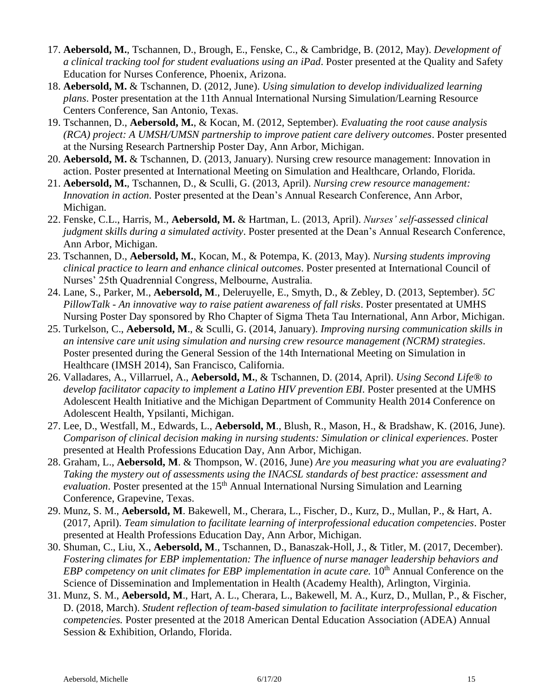- 17. **Aebersold, M.**, Tschannen, D., Brough, E., Fenske, C., & Cambridge, B. (2012, May). *Development of a clinical tracking tool for student evaluations using an iPad*. Poster presented at the Quality and Safety Education for Nurses Conference, Phoenix, Arizona.
- 18. **Aebersold, M.** & Tschannen, D. (2012, June). *Using simulation to develop individualized learning plans*. Poster presentation at the 11th Annual International Nursing Simulation/Learning Resource Centers Conference, San Antonio, Texas.
- 19. Tschannen, D., **Aebersold, M.**, & Kocan, M. (2012, September). *Evaluating the root cause analysis (RCA) project: A UMSH/UMSN partnership to improve patient care delivery outcomes*. Poster presented at the Nursing Research Partnership Poster Day, Ann Arbor, Michigan.
- 20. **Aebersold, M.** & Tschannen, D. (2013, January). Nursing crew resource management: Innovation in action. Poster presented at International Meeting on Simulation and Healthcare, Orlando, Florida.
- 21. **Aebersold, M.**, Tschannen, D., & Sculli, G. (2013, April). *Nursing crew resource management: Innovation in action*. Poster presented at the Dean's Annual Research Conference, Ann Arbor, Michigan.
- 22. Fenske, C.L., Harris, M., **Aebersold, M.** & Hartman, L. (2013, April). *Nurses' self-assessed clinical judgment skills during a simulated activity*. Poster presented at the Dean's Annual Research Conference, Ann Arbor, Michigan.
- 23. Tschannen, D., **Aebersold, M.**, Kocan, M., & Potempa, K. (2013, May). *Nursing students improving clinical practice to learn and enhance clinical outcomes*. Poster presented at International Council of Nurses' 25th Quadrennial Congress, Melbourne, Australia.
- 24. Lane, S., Parker, M., **Aebersold, M**., Deleruyelle, E., Smyth, D., & Zebley, D. (2013, September). *5C PillowTalk - An innovative way to raise patient awareness of fall risks*. Poster presentated at UMHS Nursing Poster Day sponsored by Rho Chapter of Sigma Theta Tau International, Ann Arbor, Michigan.
- 25. Turkelson, C., **Aebersold, M**., & Sculli, G. (2014, January). *Improving nursing communication skills in an intensive care unit using simulation and nursing crew resource management (NCRM) strategies*. Poster presented during the General Session of the 14th International Meeting on Simulation in Healthcare (IMSH 2014), San Francisco, California.
- 26. Valladares, A., Villarruel, A., **Aebersold, M.**, & Tschannen, D. (2014, April). *Using Second Life® to develop facilitator capacity to implement a Latino HIV prevention EBI*. Poster presented at the UMHS Adolescent Health Initiative and the Michigan Department of Community Health 2014 Conference on Adolescent Health, Ypsilanti, Michigan.
- 27. Lee, D., Westfall, M., Edwards, L., **Aebersold, M**., Blush, R., Mason, H., & Bradshaw, K. (2016, June). *Comparison of clinical decision making in nursing students: Simulation or clinical experiences*. Poster presented at Health Professions Education Day, Ann Arbor, Michigan.
- 28. Graham, L., **Aebersold, M**. & Thompson, W. (2016, June) *Are you measuring what you are evaluating? Taking the mystery out of assessments using the INACSL standards of best practice: assessment and evaluation*. Poster presented at the 15<sup>th</sup> Annual International Nursing Simulation and Learning Conference, Grapevine, Texas.
- 29. Munz, S. M., **Aebersold, M**. Bakewell, M., Cherara, L., Fischer, D., Kurz, D., Mullan, P., & Hart, A. (2017, April). *Team simulation to facilitate learning of interprofessional education competencies*. Poster presented at Health Professions Education Day, Ann Arbor, Michigan.
- 30. Shuman, C., Liu, X., **Aebersold, M**., Tschannen, D., Banaszak-Holl, J., & Titler, M. (2017, December). *Fostering climates for EBP implementation: The influence of nurse manager leadership behaviors and EBP competency on unit climates for EBP implementation in acute care.* 10<sup>th</sup> Annual Conference on the Science of Dissemination and Implementation in Health (Academy Health), Arlington, Virginia.
- 31. Munz, S. M., **Aebersold, M**., Hart, A. L., Cherara, L., Bakewell, M. A., Kurz, D., Mullan, P., & Fischer, D. (2018, March). *Student reflection of team-based simulation to facilitate interprofessional education competencies.* Poster presented at the 2018 American Dental Education Association (ADEA) Annual Session & Exhibition, Orlando, Florida.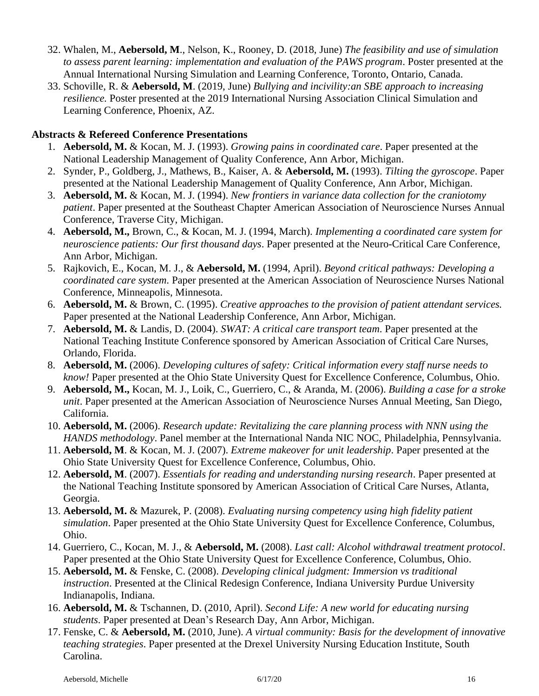- 32. Whalen, M., **Aebersold, M**., Nelson, K., Rooney, D. (2018, June) *The feasibility and use of simulation to assess parent learning: implementation and evaluation of the PAWS program*. Poster presented at the Annual International Nursing Simulation and Learning Conference, Toronto, Ontario, Canada.
- 33. Schoville, R. & **Aebersold, M**. (2019, June) *Bullying and incivility:an SBE approach to increasing resilience.* Poster presented at the 2019 International Nursing Association Clinical Simulation and Learning Conference, Phoenix, AZ.

#### **Abstracts & Refereed Conference Presentations**

- 1. **Aebersold, M.** & Kocan, M. J. (1993). *Growing pains in coordinated care*. Paper presented at the National Leadership Management of Quality Conference, Ann Arbor, Michigan.
- 2. Synder, P., Goldberg, J., Mathews, B., Kaiser, A. & **Aebersold, M.** (1993). *Tilting the gyroscope*. Paper presented at the National Leadership Management of Quality Conference, Ann Arbor, Michigan.
- 3. **Aebersold, M.** & Kocan, M. J. (1994). *New frontiers in variance data collection for the craniotomy patient*. Paper presented at the Southeast Chapter American Association of Neuroscience Nurses Annual Conference, Traverse City, Michigan.
- 4. **Aebersold, M.,** Brown, C., & Kocan, M. J. (1994, March). *Implementing a coordinated care system for neuroscience patients: Our first thousand days*. Paper presented at the Neuro-Critical Care Conference, Ann Arbor, Michigan.
- 5. Rajkovich, E., Kocan, M. J., & **Aebersold, M.** (1994, April). *Beyond critical pathways: Developing a coordinated care system*. Paper presented at the American Association of Neuroscience Nurses National Conference, Minneapolis, Minnesota.
- 6. **Aebersold, M.** & Brown, C. (1995). *Creative approaches to the provision of patient attendant services.* Paper presented at the National Leadership Conference, Ann Arbor, Michigan.
- 7. **Aebersold, M.** & Landis, D. (2004). *SWAT: A critical care transport team*. Paper presented at the National Teaching Institute Conference sponsored by American Association of Critical Care Nurses, Orlando, Florida.
- 8. **Aebersold, M.** (2006). *Developing cultures of safety: Critical information every staff nurse needs to know!* Paper presented at the Ohio State University Quest for Excellence Conference, Columbus, Ohio.
- 9. **Aebersold, M.,** Kocan, M. J., Loik, C., Guerriero, C., & Aranda, M. (2006). *Building a case for a stroke unit*. Paper presented at the American Association of Neuroscience Nurses Annual Meeting, San Diego, California.
- 10. **Aebersold, M.** (2006). *Research update: Revitalizing the care planning process with NNN using the HANDS methodology*. Panel member at the International Nanda NIC NOC, Philadelphia, Pennsylvania.
- 11. **Aebersold, M**. & Kocan, M. J. (2007). *Extreme makeover for unit leadership*. Paper presented at the Ohio State University Quest for Excellence Conference, Columbus, Ohio.
- 12. **Aebersold, M**. (2007). *Essentials for reading and understanding nursing research*. Paper presented at the National Teaching Institute sponsored by American Association of Critical Care Nurses, Atlanta, Georgia.
- 13. **Aebersold, M.** & Mazurek, P. (2008). *Evaluating nursing competency using high fidelity patient simulation*. Paper presented at the Ohio State University Quest for Excellence Conference, Columbus, Ohio.
- 14. Guerriero, C., Kocan, M. J., & **Aebersold, M.** (2008). *Last call: Alcohol withdrawal treatment protocol*. Paper presented at the Ohio State University Quest for Excellence Conference, Columbus, Ohio.
- 15. **Aebersold, M.** & Fenske, C. (2008). *Developing clinical judgment: Immersion vs traditional instruction*. Presented at the Clinical Redesign Conference, Indiana University Purdue University Indianapolis, Indiana.
- 16. **Aebersold, M.** & Tschannen, D. (2010, April). *Second Life: A new world for educating nursing students*. Paper presented at Dean's Research Day, Ann Arbor, Michigan.
- 17. Fenske, C. & **Aebersold, M.** (2010, June). *A virtual community: Basis for the development of innovative teaching strategies*. Paper presented at the Drexel University Nursing Education Institute, South Carolina.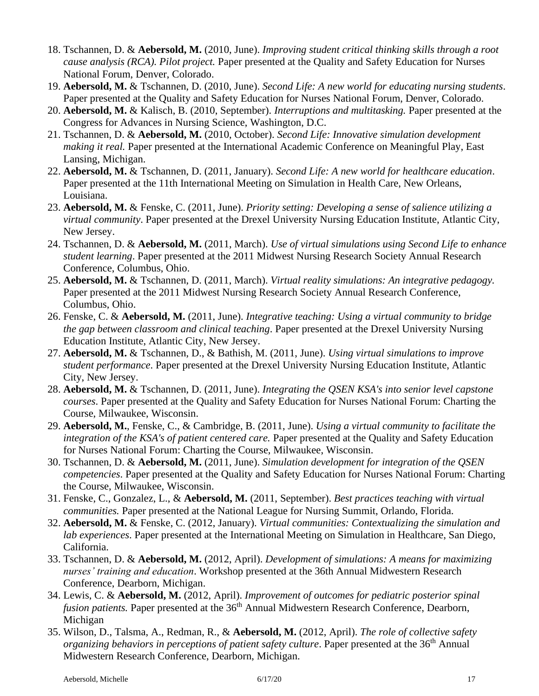- 18. Tschannen, D. & **Aebersold, M.** (2010, June). *Improving student critical thinking skills through a root cause analysis (RCA). Pilot project.* Paper presented at the Quality and Safety Education for Nurses National Forum, Denver, Colorado.
- 19. **Aebersold, M.** & Tschannen, D. (2010, June). *Second Life: A new world for educating nursing students*. Paper presented at the Quality and Safety Education for Nurses National Forum, Denver, Colorado.
- 20. **Aebersold, M.** & Kalisch, B. (2010, September). *Interruptions and multitasking.* Paper presented at the Congress for Advances in Nursing Science, Washington, D.C.
- 21. Tschannen, D. & **Aebersold, M.** (2010, October). *Second Life: Innovative simulation development making it real.* Paper presented at the International Academic Conference on Meaningful Play, East Lansing, Michigan.
- 22. **Aebersold, M.** & Tschannen, D. (2011, January). *Second Life: A new world for healthcare education*. Paper presented at the 11th International Meeting on Simulation in Health Care, New Orleans, Louisiana.
- 23. **Aebersold, M.** & Fenske, C. (2011, June). *Priority setting: Developing a sense of salience utilizing a virtual community*. Paper presented at the Drexel University Nursing Education Institute, Atlantic City, New Jersey.
- 24. Tschannen, D. & **Aebersold, M.** (2011, March). *Use of virtual simulations using Second Life to enhance student learning*. Paper presented at the 2011 Midwest Nursing Research Society Annual Research Conference, Columbus, Ohio.
- 25. **Aebersold, M.** & Tschannen, D. (2011, March). *Virtual reality simulations: An integrative pedagogy.* Paper presented at the 2011 Midwest Nursing Research Society Annual Research Conference, Columbus, Ohio.
- 26. Fenske, C. & **Aebersold, M.** (2011, June). *Integrative teaching: Using a virtual community to bridge the gap between classroom and clinical teaching*. Paper presented at the Drexel University Nursing Education Institute, Atlantic City, New Jersey.
- 27. **Aebersold, M.** & Tschannen, D., & Bathish, M. (2011, June). *Using virtual simulations to improve student performance*. Paper presented at the Drexel University Nursing Education Institute, Atlantic City, New Jersey.
- 28. **Aebersold, M.** & Tschannen, D. (2011, June). *Integrating the QSEN KSA's into senior level capstone courses*. Paper presented at the Quality and Safety Education for Nurses National Forum: Charting the Course, Milwaukee, Wisconsin.
- 29. **Aebersold, M.**, Fenske, C., & Cambridge, B. (2011, June). *Using a virtual community to facilitate the integration of the KSA's of patient centered care.* Paper presented at the Quality and Safety Education for Nurses National Forum: Charting the Course, Milwaukee, Wisconsin.
- 30. Tschannen, D. & **Aebersold, M.** (2011, June). *Simulation development for integration of the QSEN competencies*. Paper presented at the Quality and Safety Education for Nurses National Forum: Charting the Course, Milwaukee, Wisconsin.
- 31. Fenske, C., Gonzalez, L., & **Aebersold, M.** (2011, September). *Best practices teaching with virtual communities.* Paper presented at the National League for Nursing Summit, Orlando, Florida.
- 32. **Aebersold, M.** & Fenske, C. (2012, January). *Virtual communities: Contextualizing the simulation and lab experiences*. Paper presented at the International Meeting on Simulation in Healthcare, San Diego, California.
- 33. Tschannen, D. & **Aebersold, M.** (2012, April). *Development of simulations: A means for maximizing nurses' training and education*. Workshop presented at the 36th Annual Midwestern Research Conference, Dearborn, Michigan.
- 34. Lewis, C. & **Aebersold, M.** (2012, April). *Improvement of outcomes for pediatric posterior spinal fusion patients.* Paper presented at the 36<sup>th</sup> Annual Midwestern Research Conference, Dearborn, Michigan
- 35. Wilson, D., Talsma, A., Redman, R., & **Aebersold, M.** (2012, April). *The role of collective safety organizing behaviors in perceptions of patient safety culture.* Paper presented at the 36<sup>th</sup> Annual Midwestern Research Conference, Dearborn, Michigan.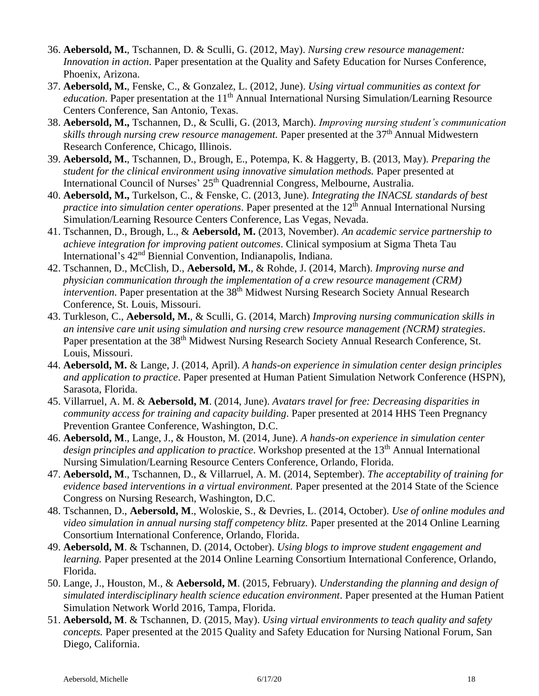- 36. **Aebersold, M.**, Tschannen, D. & Sculli, G. (2012, May). *Nursing crew resource management: Innovation in action*. Paper presentation at the Quality and Safety Education for Nurses Conference, Phoenix, Arizona.
- 37. **Aebersold, M.**, Fenske, C., & Gonzalez, L. (2012, June). *Using virtual communities as context for education*. Paper presentation at the 11<sup>th</sup> Annual International Nursing Simulation/Learning Resource Centers Conference, San Antonio, Texas.
- 38. **Aebersold, M.,** Tschannen, D., & Sculli, G. (2013, March). *Improving nursing student's communication skills through nursing crew resource management.* Paper presented at the 37th Annual Midwestern Research Conference, Chicago, Illinois.
- 39. **Aebersold, M.**, Tschannen, D., Brough, E., Potempa, K. & Haggerty, B. (2013, May). *Preparing the student for the clinical environment using innovative simulation methods.* Paper presented at International Council of Nurses' 25<sup>th</sup> Quadrennial Congress, Melbourne, Australia.
- 40. **Aebersold, M.,** Turkelson, C., & Fenske, C. (2013, June). *Integrating the INACSL standards of best practice into simulation center operations*. Paper presented at the 12<sup>th</sup> Annual International Nursing Simulation/Learning Resource Centers Conference, Las Vegas, Nevada.
- 41. Tschannen, D., Brough, L., & **Aebersold, M.** (2013, November). *An academic service partnership to achieve integration for improving patient outcomes*. Clinical symposium at Sigma Theta Tau International's 42nd Biennial Convention, Indianapolis, Indiana.
- 42. Tschannen, D., McClish, D., **Aebersold, M.**, & Rohde, J. (2014, March). *Improving nurse and physician communication through the implementation of a crew resource management (CRM) intervention*. Paper presentation at the 38<sup>th</sup> Midwest Nursing Research Society Annual Research Conference, St. Louis, Missouri.
- 43. Turkleson, C., **Aebersold, M.**, & Sculli, G. (2014, March) *Improving nursing communication skills in an intensive care unit using simulation and nursing crew resource management (NCRM) strategies*. Paper presentation at the 38<sup>th</sup> Midwest Nursing Research Society Annual Research Conference, St. Louis, Missouri.
- 44. **Aebersold, M.** & Lange, J. (2014, April). *A hands-on experience in simulation center design principles and application to practice*. Paper presented at Human Patient Simulation Network Conference (HSPN), Sarasota, Florida.
- 45. Villarruel, A. M. & **Aebersold, M**. (2014, June). *Avatars travel for free: Decreasing disparities in community access for training and capacity building*. Paper presented at 2014 HHS Teen Pregnancy Prevention Grantee Conference, Washington, D.C.
- 46. **Aebersold, M**., Lange, J., & Houston, M. (2014, June). *A hands-on experience in simulation center design principles and application to practice*. Workshop presented at the 13<sup>th</sup> Annual International Nursing Simulation/Learning Resource Centers Conference, Orlando, Florida.
- 47. **Aebersold, M**., Tschannen, D., & Villarruel, A. M. (2014, September). *The acceptability of training for evidence based interventions in a virtual environment.* Paper presented at the 2014 State of the Science Congress on Nursing Research, Washington, D.C.
- 48. Tschannen, D., **Aebersold, M**., Woloskie, S., & Devries, L. (2014, October). *Use of online modules and video simulation in annual nursing staff competency blitz.* Paper presented at the 2014 Online Learning Consortium International Conference, Orlando, Florida.
- 49. **Aebersold, M**. & Tschannen, D. (2014, October). *Using blogs to improve student engagement and learning.* Paper presented at the 2014 Online Learning Consortium International Conference, Orlando, Florida.
- 50. Lange, J., Houston, M., & **Aebersold, M**. (2015, February). *Understanding the planning and design of simulated interdisciplinary health science education environment*. Paper presented at the Human Patient Simulation Network World 2016, Tampa, Florida.
- 51. **Aebersold, M**. & Tschannen, D. (2015, May). *Using virtual environments to teach quality and safety concepts.* Paper presented at the 2015 Quality and Safety Education for Nursing National Forum, San Diego, California.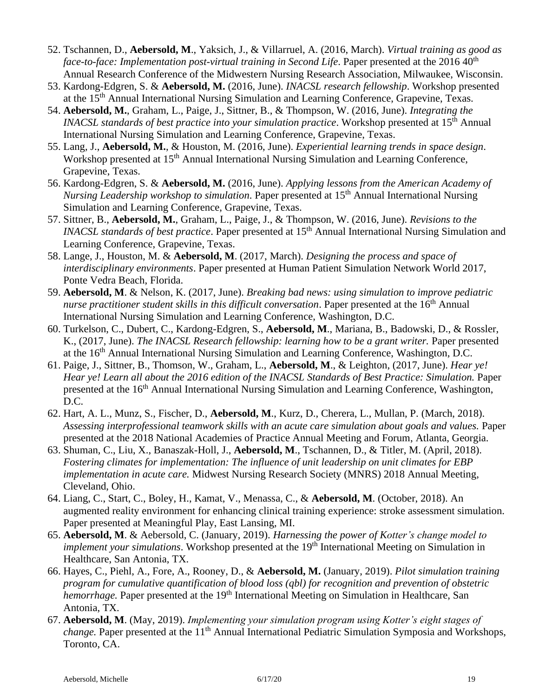- 52. Tschannen, D., **Aebersold, M**., Yaksich, J., & Villarruel, A. (2016, March). *Virtual training as good as face-to-face: Implementation post-virtual training in Second Life.* Paper presented at the 2016 40<sup>th</sup> Annual Research Conference of the Midwestern Nursing Research Association, Milwaukee, Wisconsin.
- 53. Kardong-Edgren, S. & **Aebersold, M.** (2016, June). *INACSL research fellowship*. Workshop presented at the 15<sup>th</sup> Annual International Nursing Simulation and Learning Conference, Grapevine, Texas.
- 54. **Aebersold, M.**, Graham, L., Paige, J., Sittner, B., & Thompson, W. (2016, June). *Integrating the INACSL standards of best practice into your simulation practice.* Workshop presented at 15<sup>th</sup> Annual International Nursing Simulation and Learning Conference, Grapevine, Texas.
- 55. Lang, J., **Aebersold, M.**, & Houston, M. (2016, June). *Experiential learning trends in space design*. Workshop presented at 15<sup>th</sup> Annual International Nursing Simulation and Learning Conference, Grapevine, Texas.
- 56. Kardong-Edgren, S. & **Aebersold, M.** (2016, June). *Applying lessons from the American Academy of Nursing Leadership workshop to simulation*. Paper presented at 15<sup>th</sup> Annual International Nursing Simulation and Learning Conference, Grapevine, Texas.
- 57. Sittner, B., **Aebersold, M.**, Graham, L., Paige, J., & Thompson, W. (2016, June). *Revisions to the INACSL standards of best practice*. Paper presented at 15<sup>th</sup> Annual International Nursing Simulation and Learning Conference, Grapevine, Texas.
- 58. Lange, J., Houston, M. & **Aebersold, M**. (2017, March). *Designing the process and space of interdisciplinary environments*. Paper presented at Human Patient Simulation Network World 2017, Ponte Vedra Beach, Florida.
- 59. **Aebersold, M**. & Nelson, K. (2017, June). *Breaking bad news: using simulation to improve pediatric nurse practitioner student skills in this difficult conversation.* Paper presented at the 16<sup>th</sup> Annual International Nursing Simulation and Learning Conference, Washington, D.C.
- 60. Turkelson, C., Dubert, C., Kardong-Edgren, S., **Aebersold, M**., Mariana, B., Badowski, D., & Rossler, K., (2017, June). *The INACSL Research fellowship: learning how to be a grant writer.* Paper presented at the 16<sup>th</sup> Annual International Nursing Simulation and Learning Conference, Washington, D.C.
- 61. Paige, J., Sittner, B., Thomson, W., Graham, L., **Aebersold, M**., & Leighton, (2017, June). *Hear ye! Hear ye! Learn all about the 2016 edition of the INACSL Standards of Best Practice: Simulation.* Paper presented at the 16<sup>th</sup> Annual International Nursing Simulation and Learning Conference, Washington, D.C.
- 62. Hart, A. L., Munz, S., Fischer, D., **Aebersold, M**., Kurz, D., Cherera, L., Mullan, P. (March, 2018). *Assessing interprofessional teamwork skills with an acute care simulation about goals and values.* Paper presented at the 2018 National Academies of Practice Annual Meeting and Forum, Atlanta, Georgia.
- 63. Shuman, C., Liu, X., Banaszak-Holl, J., **Aebersold, M**., Tschannen, D., & Titler, M. (April, 2018). *Fostering climates for implementation: The influence of unit leadership on unit climates for EBP implementation in acute care.* Midwest Nursing Research Society (MNRS) 2018 Annual Meeting, Cleveland, Ohio.
- 64. Liang, C., Start, C., Boley, H., Kamat, V., Menassa, C., & **Aebersold, M**. (October, 2018). An augmented reality environment for enhancing clinical training experience: stroke assessment simulation. Paper presented at Meaningful Play, East Lansing, MI.
- 65. **Aebersold, M**. & Aebersold, C. (January, 2019). *Harnessing the power of Kotter's change model to implement your simulations*. Workshop presented at the 19<sup>th</sup> International Meeting on Simulation in Healthcare, San Antonia, TX.
- 66. Hayes, C., Piehl, A., Fore, A., Rooney, D., & **Aebersold, M.** (January, 2019). *Pilot simulation training program for cumulative quantification of blood loss (qbl) for recognition and prevention of obstetric hemorrhage.* Paper presented at the 19<sup>th</sup> International Meeting on Simulation in Healthcare. San Antonia, TX.
- 67. **Aebersold, M**. (May, 2019). *Implementing your simulation program using Kotter's eight stages of change*. Paper presented at the 11<sup>th</sup> Annual International Pediatric Simulation Symposia and Workshops, Toronto, CA.